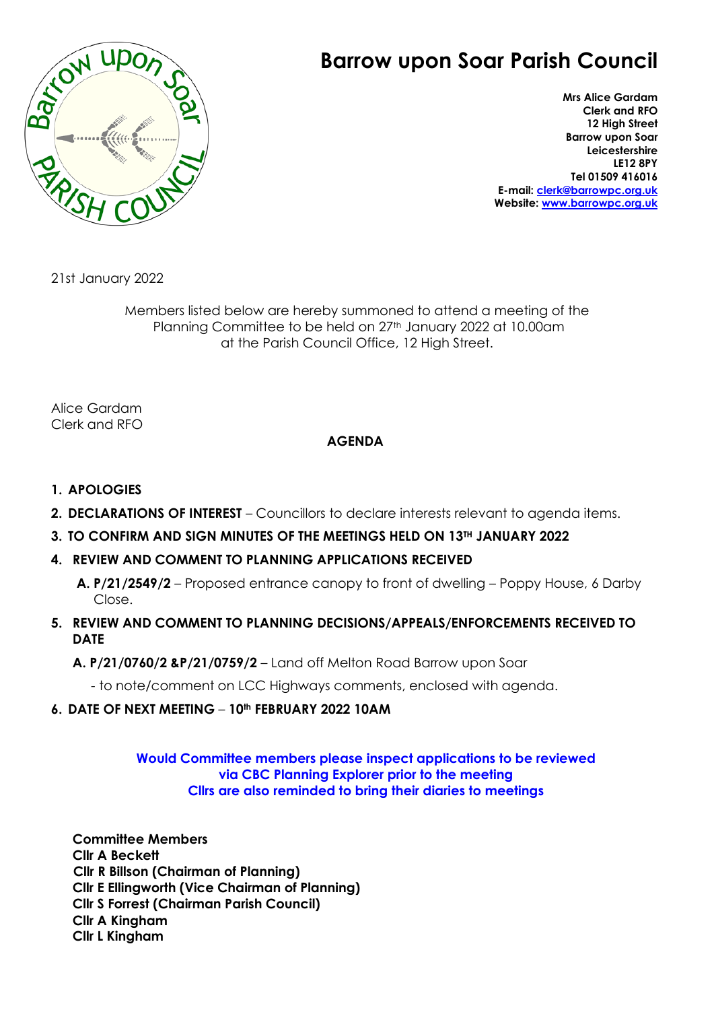

# **Barrow upon Soar Parish Council**

**Mrs Alice Gardam Clerk and RFO 12 High Street Barrow upon Soar Leicestershire LE12 8PY Tel 01509 416016 E-mail: [clerk@barrowpc.org.uk](mailto:clerk@barrowpc.org.uk) Website: [www.barrowpc.org.uk](http://www.barrowpc.org.uk/)**

21st January 2022

Members listed below are hereby summoned to attend a meeting of the Planning Committee to be held on 27<sup>th</sup> January 2022 at 10.00am at the Parish Council Office, 12 High Street.

Alice Gardam Clerk and RFO

## **AGENDA**

- **1. APOLOGIES**
- **2. DECLARATIONS OF INTEREST** Councillors to declare interests relevant to agenda items.
- **3. TO CONFIRM AND SIGN MINUTES OF THE MEETINGS HELD ON 13TH JANUARY 2022**

#### **4. REVIEW AND COMMENT TO PLANNING APPLICATIONS RECEIVED**

**A. P/21/2549/2** – Proposed entrance canopy to front of dwelling – Poppy House, 6 Darby Close.

- **5. REVIEW AND COMMENT TO PLANNING DECISIONS/APPEALS/ENFORCEMENTS RECEIVED TO DATE**
	- **A. P/21/0760/2 &P/21/0759/2**  Land off Melton Road Barrow upon Soar

- to note/comment on LCC Highways comments, enclosed with agenda.

## **6. DATE OF NEXT MEETING** – **10th FEBRUARY 2022 10AM**

### **Would Committee members please inspect applications to be reviewed via CBC Planning Explorer prior to the meeting Cllrs are also reminded to bring their diaries to meetings**

**Committee Members Cllr A Beckett Cllr R Billson (Chairman of Planning) Cllr E Ellingworth (Vice Chairman of Planning) Cllr S Forrest (Chairman Parish Council) Cllr A Kingham Cllr L Kingham**